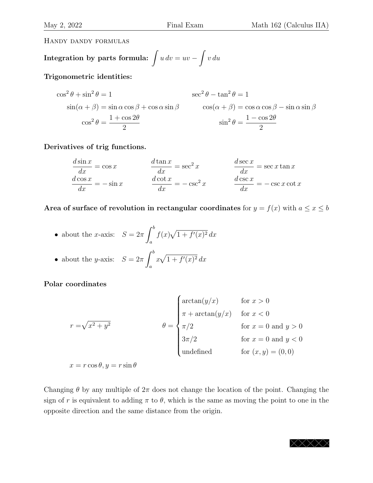Handy dandy formulas

Integration by parts formula: 
$$
\int u \, dv = uv - \int v \, du
$$

Trigonometric identities:

$$
\cos^{2} \theta + \sin^{2} \theta = 1
$$
  
\n
$$
\sin(\alpha + \beta) = \sin \alpha \cos \beta + \cos \alpha \sin \beta
$$
  
\n
$$
\cos^{2} \theta = \frac{1 + \cos 2\theta}{2}
$$
  
\n
$$
\sin^{2} \theta = \frac{1 - \cos 2\theta}{2}
$$
  
\n
$$
\sin^{2} \theta = \frac{1 - \cos 2\theta}{2}
$$

Derivatives of trig functions.

$$
\frac{d \sin x}{dx} = \cos x \qquad \qquad \frac{d \tan x}{dx} = \sec^2 x \qquad \qquad \frac{d \sec x}{dx} = \sec x \tan x
$$

$$
\frac{d \cos x}{dx} = -\sin x \qquad \qquad \frac{d \cot x}{dx} = -\csc^2 x \qquad \qquad \frac{d \csc x}{dx} = -\csc x \cot x
$$

Area of surface of revolution in rectangular coordinates for  $y = f(x)$  with  $a \le x \le b$ 

• about the *x*-axis:  $S = 2\pi$  $\int^b$ *a*  $f(x)\sqrt{1 + f'(x)^2} dx$  $\partial$ 

• about the *y*-axis: 
$$
S = 2\pi \int_a^b x\sqrt{1 + f'(x)^2} dx
$$

Polar coordinates

$$
r = \sqrt{x^2 + y^2}
$$
\n
$$
\theta = \begin{cases}\n\arctan(y/x) & \text{for } x > 0 \\
\pi + \arctan(y/x) & \text{for } x < 0 \\
\pi/2 & \text{for } x = 0 \text{ and } y > 0 \\
3\pi/2 & \text{for } x = 0 \text{ and } y < 0 \\
\text{undefined} & \text{for } (x, y) = (0, 0)\n\end{cases}
$$

 $x = r \cos \theta, y = r \sin \theta$ 

Changing  $\theta$  by any multiple of  $2\pi$  does not change the location of the point. Changing the sign of *r* is equivalent to adding  $\pi$  to  $\theta$ , which is the same as moving the point to one in the opposite direction and the same distance from the origin.